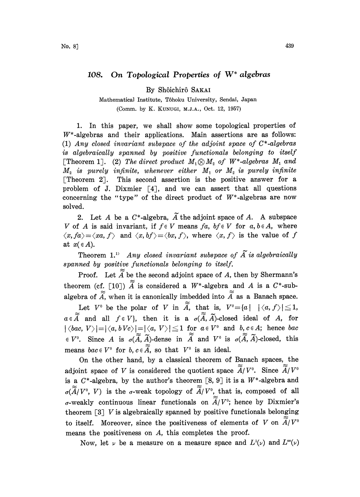## 108. On Topological Properties of  $W^*$  algebras

By Shôichirô SAKAI

Mathematical Institute, Tôhoku University, Sendai, Japan (Comm. by K. KUNUGI, M.J.A., Oct. 12, 1957)

1. In this paper, we shall show some topological properties of  $W^*$ -algebras and their applications. Main assertions are as follows: (1) Any closed invariant subspace of the adjoint space of  $C^*$ -algebras is algebraically spanned by positive functionals belonging to itself [Theorem 1]. (2) The direct product  $M_1 \otimes M_2$  of  $W^*$ -algebras  $M_1$  and  $M_2$  is purely infinite, whenever either  $M_1$  or  $M_2$  is purely infinite [Theorem 2]. This second assertion is the positive answer for a problem of J. Dixmier  $[4]$ , and we can assert that all questions concerning the "type" of the direct product of  $W^*$ -algebras are now solved.

2. Let A be a  $C^*$ -algebra,  $\widetilde{A}$  the adjoint space of A. A subspace V of A is said invariant, if  $f \in V$  means  $fa$ ,  $bf \in V$  for  $a, b \in A$ , where  $\langle x, fa \rangle = \langle xa, f \rangle$  and  $\langle x, bf \rangle = \langle bx, f \rangle$ , where  $\langle x, f \rangle$  is the value of f at  $x \in A$ ).

Theorem 1.<sup>1)</sup> Any closed invariant subspace of  $\widetilde{A}$  is algebraically spanned by positive functionals belonging to itself.

Proof. Let  $\widetilde{A}$  be the second adjoint space of A, then by Shermann's theorem (cf. [10])  $\widetilde{A}$  is considered a W\*-algebra and A is a C\*-subalgebra of  $\widetilde{A}$ , when it is canonically imbedded into  $\widetilde{A}$  as a Banach space.

Let  $V^0$  be the polar of  $V$  in  $\widetilde{A}$ , that is,  $V^0 = \{a \mid |\langle a, f \rangle| \leq 1, a \in \widetilde{A} \text{ and all } f \in V\}$ , then it is a  $\sigma(\widetilde{A}, \widetilde{A})$ -closed ideal of  $A$ , for  $a \in \widetilde{A}$  and all  $f \in V$ , then it is a  $\sigma(\widetilde{A}, \widetilde{A})$ -closed ideal of A, for  $|\langle bac, V \rangle| = |\langle a, bVc \rangle| = |\langle a, V \rangle| \le 1$  for  $a \in V^0$  and  $b, c \in A$ ; hence  $bac$  $\in V^0$ . Since A is  $\sigma(\widetilde{A}, \widetilde{A})$ -dense in  $\widetilde{A}$  and  $V^0$  is  $\sigma(\widetilde{A}, \widetilde{A})$ -closed, this means  $bac \in V^0$  for  $b, c \in \widetilde{A}$ , so that  $V^0$  is an ideal.

On the other hand, by a classical theorem of Banach spaces, the adjoint space of V is considered the quotient space  $\widetilde{\widetilde{A}}/V^0$ . Since  $\widetilde{\widetilde{A}}/V^0$ is a  $C^*$ -algebra, by the author's theorem [8, 9] it is a  $W^*$ -algebra and  $\sigma(\widetilde{\widetilde{A}}/V^0, V)$  is the *σ*-weak topology of  $\widetilde{\widetilde{A}}/V^0$ , that is, composed of all  $\sigma$ -weakly continuous linear functionals on  $\widetilde{A}/V^0$ ; hence by Dixmier's theorem  $\left[3\right]$  V is algebraically spanned by positive functionals belonging to itself. Moreover, since the positiveness of elements of V on  $\widetilde{A}/V^{\circ}$ means the positiveness on A, this completes the proof.

Now, let  $\nu$  be a measure on a measure space and  $L^1(\nu)$  and  $L^{\infty}(\nu)$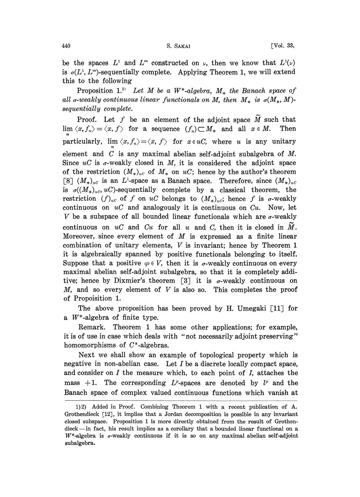be the spaces  $L^1$  and  $L^{\infty}$  constructed on  $\nu$ , then we know that  $L^1(\nu)$ is  $\sigma(L^1, L^{\infty})$ -sequentially complete. Applying Theorem 1, we will extend this to the following

Proposition 1.<sup>2)</sup> Let M be a W<sup>\*</sup>-algebra,  $M_*$  the Banach space of all  $\sigma$ -weakly continuous linear functionals on M, then  $M_*$  is  $\sigma(M_*, M)$ sequentially complete.

Proof. Let f be an element of the adjoint space  $\widetilde{M}$  such that  $\lim \langle x, f_n \rangle = \langle x, f \rangle$  for a sequence  $(f_n) \subset M_*$  and all  $x \in M$ . Then particularly,  $\lim \langle x, f_n \rangle = \langle x, f \rangle$  for  $x \in uC$ , where u is any unitary element and  $C$  is any maximal abelian self-adjoint subalgebra of  $M$ . Since  $uC$  is  $\sigma$ -weakly closed in M, it is considered the adjoint space of the restriction  $(M_*)_{uc}$  of  $M_*$  on uC; hence by the author's theorem [8]  $(M_*)_{uc}$  is an L<sup>1</sup>-space as a Banach space. Therefore, since  $(M_*)_{uc}$ is  $\sigma((M_*)_{uc}, u)$ -sequentially complete by a classical theorem, the restriction  $(f)_{uc}$  of f on uC belongs to  $(M_*)_{uc}$ ; hence f is  $\sigma$ -weakly continuous on  $uC$  and analogously it is continuous on  $Cu$ . Now, let V be a subspace of all bounded linear functionals which are  $\sigma$ -weakly continuous on  $uC$  and  $Cu$  for all u and C, then it is closed in  $\tilde{M}$ . Moreover, since every element of  $M$  is expressed as a finite linear combination of unitary elements, V is invariant; hence by Theorem <sup>1</sup> it is algebraically spanned by positive functionals belonging to itself. Suppose that a positive  $\varphi \in V$ , then it is  $\sigma$ -weakly continuous on every maximal abelian self-adjoint subalgebra, so that it is completely additive; hence by Dixmier's theorem [3] it is  $\sigma$ -weakly continuous on M, and so every element of  $V$  is also so. This completes the proof of Propoisition 1.

The above proposition has been proved by H. Umegaki  $[11]$  for a  $W^*$ -algebra of finite type.

Remark. Theorem I has some other applications; for example, it is of use in case which deals with "not necessarily adjoint preserving" homomorphisms of  $C^*$ -algebras.

Next we shall show an example of topological property which is negative in non-abelian case. Let  $I$  be a discrete locally compact space, and consider on  $I$  the measure which, to each point of  $I$ , attaches the mass  $+1$ . The corresponding  $L^p$ -spaces are denoted by  $l^p$  and the Banach space of complex valued continuous functions which vanish at

<sup>1)2)</sup> Added in Proof. Combining Theorem <sup>1</sup> with a recent publication of A. Grothendieck [12], it implies that a Jordan decomposition is possible in any invariant closed subspace. Proposition I is more directly obtained from the result of Grothendieck--in fact, his result implies as a corollary that a bounded linear functional on a  $W^*$ -algebra is  $\sigma$ -weakly continuous if it is so on any maximal abelian self-adjoint subalgebra.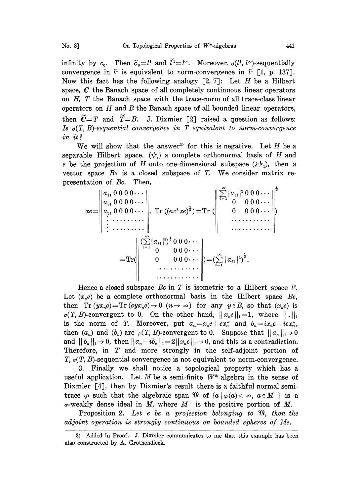infinity by  $c_0$ . Then  $\tilde{c}_0 = l^1$  and  $\tilde{l}^1 = l^{\infty}$ . Moreover,  $\sigma(l^1, l^{\infty})$ -sequentially convergence in  $l^1$  is equivalent to norm-convergence in  $l^1$  [1, p. 137]. Now this fact has the following analogy  $\lceil 2, 7 \rceil$ : Let H be a Hilbert space,  $C$  the Banach space of all completely continuous linear operators on  $H$ ,  $T$  the Banach space with the trace-norm of all trace-class linear operators on  $H$  and  $B$  the Banach space of all bounded linear operators, then  $\tilde{C}=T$  and  $\tilde{T}=B$ . J. Dixmier [2] raised a question as follows: Is  $\sigma(T, B)$ -sequential convergence in T equivalent to norm-convergence in it?

We will show that the answer<sup>33</sup> for this is negative. Let  $H$  be a separable Hilbert space,  $(\psi_i)$  a complete orthonormal basis of H and e be the projection of H onto one-dimensional subspace  $(\lambda \psi_1)$ , then a vector space  $Be$  is a closed subspace of T. We consider matrix representation of Be. Then,  $\overline{a}$ 

xe a0000... [a]000... a210000." =1 <sup>0</sup> 000... a30000... Tr((ex\*xe)1/2) -Tr( <sup>0</sup> 000.-- 0 0... 0 000 --Tr( <sup>0</sup> <sup>000</sup> )--(, a 2) 1/2.

Hence a closed subspace Be in T is isometric to a Hilbert space  $l^2$ . Let  $(x,e)$  be a complete orthonormal basis in the Hilbert space  $Be$ . then  $Tr(yx_n e) = Tr(eyx_n e) \rightarrow 0$   $(n \rightarrow \infty)$  for any  $y \in B$ , so that  $(x_n e)$  is  $\sigma(T, B)$ -convergent to 0. On the other hand,  $||x_n e||_1 = 1$ , where  $|| \cdot ||_1$ is the norm of T. Moreover, put  $a_n = x_n e + e x_n^*$  and  $b_n = i x_n e - i e x_n^*$ , then  $(a_n)$  and  $(b_n)$  are  $\rho(T, B)$ -convergent to 0. Suppose that  $||a_n||_1 \rightarrow 0$ and  $||b_n||_1 \rightarrow 0$ , then  $||a_n-ib_n||_1 = 2||x_ne||_1 \rightarrow 0$ , and this is a contradiction. Therefore, in T and more strongly in the self-adjoint portion of T,  $\sigma(T, B)$ -sequential convergence is not equivalent to norm-convergence.

3. Finally we shall notice a topological property which has a useful application. Let M be a semi-finite  $W^*$ -algebra in the sense of Dixmier  $[4]$ , then by Dixmier's result there is a faithful normal semitrace  $\varphi$  such that the algebraic span  $\mathfrak{M}$  of  $\{a\mid \varphi(a)<\infty, a\in M^+\}$  is a  $\sigma$ -weakly dense ideal in M, where  $M^+$  is the positive portion of M.

Proposition 2. Let e be a projection belonging to  $\mathfrak{M}$ , then the adjoint operation is strongly continuous on bounded spheres of Me.

<sup>3)</sup> Added in Proof. J. Dixmier communicates to me that this example has been also constructed by A. Grothendieck.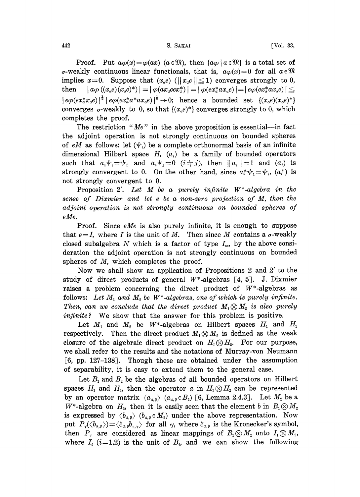$\begin{aligned} \text{S. Saktar} \end{aligned}$  [Vol. 33,

Proof. Put  $a\varphi(x) = \varphi(ax)$  ( $a \in \mathbb{R}$ ), then  $\{a\varphi \mid a \in \mathbb{R}\}$  is a total set of  $\sigma$ -weakly continuous linear functionals, that is,  $\alpha \varphi(x)=0$  for all  $\alpha \in \mathbb{R}$ implies  $x=0$ . Suppose that  $(x_{\alpha}e)$  ( $||x_{\alpha}e|| \le 1$ ) converges strongly to 0, then  $|a\varphi((x,e)(x,e)^*)| = |\varphi(ax_{{}_{a}}eex_{{}_{a}}^{*})| = |\varphi(ex_{{}_{a}}^{*}ax_{{}_{a}}e)| = |e\varphi(ex_{{}_{a}}^{*}ax_{{}_{a}}e)| \le$  $\left\vert e\varphi(ex_{\alpha}^{*}x_{\alpha}e)\right\vert ^{\frac{1}{2}}\left\vert e\varphi(ex_{\alpha}^{*}a^{*}ax_{\alpha}e)\right\vert ^{\frac{1}{2}}\rightarrow0;$  hence a bounded set  $\{(x_{\alpha}e)(x_{\alpha}e)^{*}\}\$ converges  $\sigma$ -weakly to 0, so that  $\{(x,e)^*\}$  converges strongly to 0, which completes the proof.

The restriction " $Me$ " in the above proposition is essential--in fact the adjoint operation is not strongly continuous on bounded spheres of eM as follows: let  $(\psi_i)$  be a complete orthonormal basis of an infinite dimensional Hilbert space H,  $(a_i)$  be a family of bounded operators<br>such that  $a_i \psi_i = \psi_1$  and  $a_i \psi_j = 0$   $(i \neq j)$ , then  $||a_i|| = 1$  and  $(a_i)$  is<br>streamly convergent to 0. On the other hand since  $a^* \psi_1 = \psi_1$   $(a^*)$  is such that  $a_i \psi_i = \psi_1$  and  $a_i \psi_j = 0$   $(i \neq j)$ , then  $||a_i|| = 1$  and  $(a_i)$  is strongly convergent to 0. On the other hand, since  $a_i^* \psi_1 = \psi_i$ ,  $(a_i^*)$  is not strongly convergent to 0.

Proposition 2'. Let M be <sup>a</sup> purely infinite W\*-algebra in the sense of Dixmier and let <sup>e</sup> be a non-zero projection of M, then the adjoint operation is not strongly continuous on bounded spheres of eMe.

Proof. Since eMe is also purely infinite, it is enough to suppose that  $e=I$ , where I is the unit of M. Then since M contains a  $\sigma$ -weakly closed subalgebra N which is a factor of type  $I_{\infty}$ , by the above consideration the adjoint operation is not strongly continuous on bounded spheres of M, which completes the proof.

Now we shall show an application of Propositions <sup>2</sup> and 2' to the study of direct products of general  $W^*$ -algebras [4, 5]. J. Dixmier raises a problem concerning the direct product of  $W^*$ -algebras as follows: Let  $M_1$  and  $M_2$  be W<sup>\*</sup>-algebras, one of which is purely infinite. Then, can we conclude that the direct product  $M_1 \otimes M_2$  is also purely infinite? We show that the answer for this problem is positive.

Let  $M_1$  and  $M_2$  be  $W^*$ -algebras on Hilbert spaces  $H_1$  and  $H_2$ respectively. Then the direct product  $M_1 \otimes M_2$  is defined as the weak closure of the algebraic direct product on  $H_1 \otimes H_2$ . For our purpose, we shall refer to the results and the notations of Murray-von Neumann [6, pp. 127-138]. Though these are obtained under the assumption of separability, it is easy to extend them to the general case.

Let  $B_1$  and  $B_2$  be the algebras of all bounded operators on Hilbert spaces  $H_1$  and  $H_2$ , then the operator a in  $H_1 \otimes H_2$  can be represented by an operator matrix  $\langle a_{\alpha,\beta} \rangle$   $(a_{\alpha,\beta} \in B_2)$  [6, Lemma 2.4.3]. Let  $M_2$  be a W<sup>\*</sup>-algebra on  $H_2$ , then it is easily seen that the element b in  $B_1 \otimes M_2$ is expressed by  $\langle b_{\alpha,\beta} \rangle$  ( $b_{\alpha,\beta} \in M_2$ ) under the above representation. Now put  $P_r(\langle b_{\alpha,\beta} \rangle) = \langle \delta_{\alpha,\beta} b_{r,\gamma} \rangle$  for all  $\gamma$ , where  $\delta_{\alpha,\beta}$  is the Kronecker's symbol,<br>then  $P_r$  are considered as linear mappings of  $B_1 \otimes M_2$  onto  $I_1 \otimes M_2$ ,<br>where  $I_2(\gamma, 1, 2)$  is the unit of  $P_r$  and w where  $I_i$  (i=1,2) is the unit of  $B_i$ , and we can show the following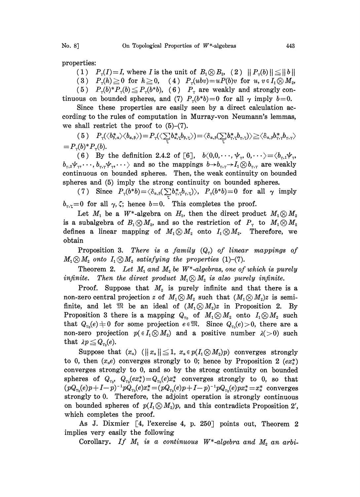properties:

(1)  $P_r(I)=I$ , where I is the unit of  $B_1\otimes B_2$ , (2)  $\|P_r(b)\| \leq \|b\|$ (3)  $P_r(h) \ge 0$  for  $h \ge 0$ , (4)  $P_r(ubv) = uP(b)v$  for  $u, v \in I_1 \otimes M_2$ , (5)  $P_r(b)^*P_r(b) \le P_r(b^*b)$ , (6)  $P_r$  are weakly and strongly con-

tinuous on bounded spheres, and (7)  $P_r(b*b)=0$  for all  $\gamma$  imply  $b=0$ .

Since these properties are easily seen by a direct calculation according to the rules of computation in Murray-von Neumann's lemmas, we shall restrict the proof to  $(5)-(7)$ .

 $( \, 5 \, ) \quad P_{\scriptscriptstyle \Upsilon}\! \langle\langle b^*_{\scriptscriptstyle{\beta},a} \rangle\langle b_{\scriptscriptstyle{\alpha},\beta} \rangle\! \rangle \! = \! P_{\scriptscriptstyle \Upsilon}\! \langle\langle \sum_{\scriptscriptstyle \Uparrow} \! b^*_{\scriptscriptstyle{\alpha},\zeta} \! b_{\scriptscriptstyle{\beta},\zeta} \rangle\! \rangle \! = \! \langle \delta_{\scriptscriptstyle{\alpha},\beta} \! ( \sum_{\scriptscriptstyle \Uparrow} \! b^*_{\scriptscriptstyle{\Upsilon}},\zeta \! b_{\scriptscriptstyle{\Upsilon},\zeta} ) \rangle \! \geq \! \langle \delta_{\scriptscriptstyle{\alpha},$  $= P_{\gamma}(b)^* P_{\gamma}(b).$ 

(6) By the definition 2.4.2 of [6],  $b(0,0,\dots,\psi_r, 0,\dots) = \langle b_r, b_r, \psi_r,$  $b_{r,2}\psi_r,\dots, b_{r,r}\psi_r,\dots$  and so the mappings  $b\rightarrow b_{r,r}\rightarrow I_1\otimes b_{r,r}$  are weakly continuous on bounded spheres. Then, the weak continuity on bounded spheres and (5) imply the strong continuity on bounded spheres.

(7) Since  $P_r(b*b) = \langle \delta_{\alpha,\beta}(\sum b_r^*,b_r,\zeta) \rangle$ ,  $P_r(b*b) = 0$  for all  $\gamma$  imply  $b_{\tau,\zeta}=0$  for all  $\gamma,\zeta$ ; hence  $b=0$ . This completes the proof.

Let  $M_1$  be a W<sup>\*</sup>-algebra on  $H_1$ , then the direct product  $M_1 \otimes M_2$ is a subalgebra of  $B_1 \otimes M_2$ , and so the restriction of  $P_r$  to  $M_1 \otimes M_2$ defines a linear mapping of  $M_1 \otimes M_2$  onto  $I_1 \otimes M_2$ . Therefore, we obtain

Proposition 3. There is a family  $(Q_r)$  of linear mappings of  $M_1 \otimes M_2$  onto  $I_1 \otimes M_2$  satisfying the properties (1)-(7).

Theorem 2. Let  $M_1$  and  $M_2$  be  $W^*$ -algebras, one of which is purely infinite. Then the direct product  $M_1 \otimes M_2$  is also purely infinite.

Proof. Suppose that  $M<sub>2</sub>$  is purely infinite and that there is a non-zero central projection z of  $M_1 \otimes M_2$  such that  $(M_1 \otimes M_2)$ z is semifinite, and let  $\mathfrak{M}$  be an ideal of  $(M_1\otimes M_2)z$  in Proposition 2. By Proposition 3 there is a mapping  $Q_{r_0}$  of  $M_1 \otimes M_2$  onto  $I_1 \otimes M_2$  such that  $Q_{r_0}(e) \neq 0$  for some projection  $e \in \mathfrak{M}$ . Since  $Q_{r_0}(e) > 0$ , there are a non-zero projection  $p(\in I_1 \otimes M_2)$  and a positive number  $\lambda(>0)$  such that  $\lambda p \leq Q_{r_0}(e)$ .

Suppose that  $(x_a)$   $(||x_a|| \leq 1, x_a \in p(I_1 \otimes M_2)p)$  converges strongly to 0, then  $(x_a e)$  converges strongly to 0; hence by Proposition 2  $(ex^*_{a})$ converges strongly to 0, and so by the strong continuity on bounded spheres of  $Q_{r_0}$ ,  $Q_{r_0}(ex^*_\sigma)=Q_{r_0}(e)x^*_\sigma$  converges strongly to 0, so that  $(pQ_{r_0}(e)p+I-p)^{-1}pQ_{r_0}(e)x_s^* = (pQ_{r_0}(e)p+I-p)^{-1}pQ_{r_0}(e)px_s^* = x_s^*$  converges<br>strongly to 0. Therefore, the adjoint operation is strongly continuous<br>on bounded spheres of  $p(I_1 \otimes M_2)p$ , and this contradicts Proposition 2', strongly to 0. Therefore, the adjoint operation is strongly continuous on bounded spheres of  $p(I_1 \otimes M_2)p$ , and this contradicts Proposition 2', which completes the proof.

As J. Dixmier [4, l'exercise 4, p. 250] points out, Theorem 2 implies very easily the following

Corollary. If  $M_1$  is a continuous  $W^*$ -algebra and  $M_2$  an arbi-